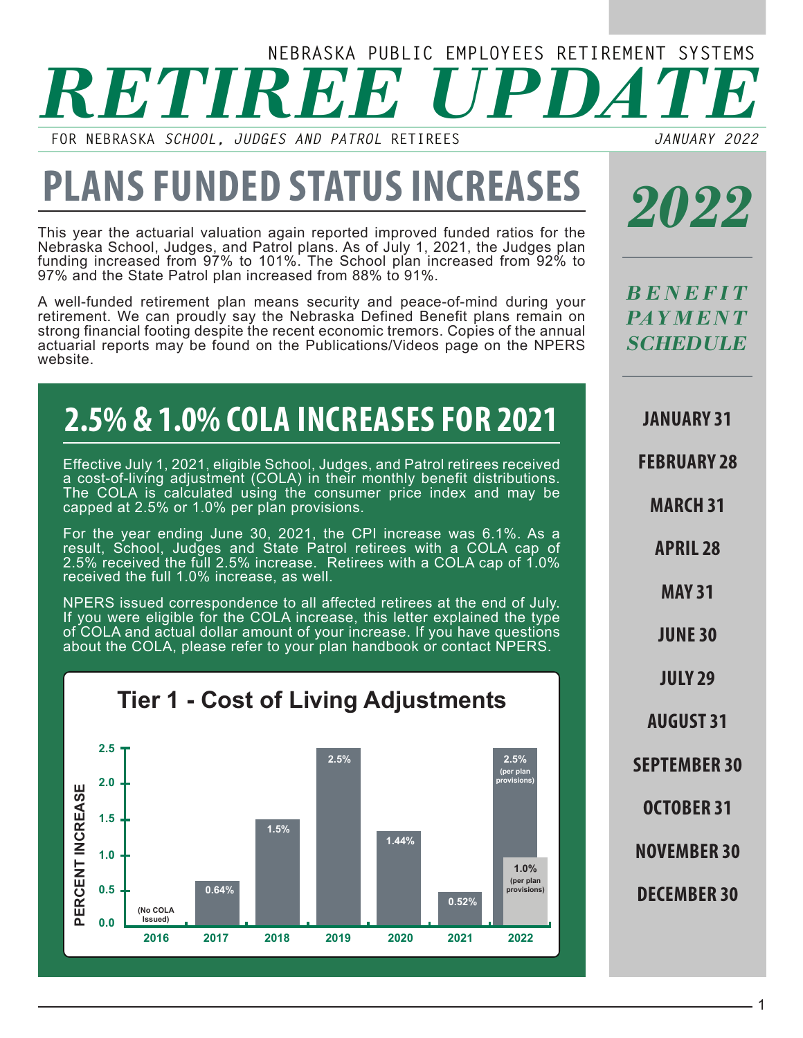# *RETIREE UPDATE* **NEBRASKA PUBLIC EMPLOYEES RETIREMENT SYSTEMS**

**FOR NEBRASKA** *SCHOOL, JUDGES AND PATROL* **RETIREES**

*JANUARY 2022*

# **PLANS FUNDED STATUS INCREASES**

This year the actuarial valuation again reported improved funded ratios for the Nebraska School, Judges, and Patrol plans. As of July 1, 2021, the Judges plan funding increased from 97% to 101%. The School plan increased from 92% to 97% and the State Patrol plan increased from 88% to 91%.

A well-funded retirement plan means security and peace-of-mind during your retirement. We can proudly say the Nebraska Defined Benefit plans remain on strong financial footing despite the recent economic tremors. Copies of the annual actuarial reports may be found on the Publications/Videos page on the NPERS website.

#### **2.5% & 1.0% COLA INCREASES FOR 2021**

Effective July 1, 2021, eligible School, Judges, and Patrol retirees received a cost-of-living adjustment (COLA) in their monthly benefit distributions. The COLA is calculated using the consumer price index and may be capped at 2.5% or 1.0% per plan provisions.

For the year ending June 30, 2021, the CPI increase was 6.1%. As a result, School, Judges and State Patrol retirees with a COLA cap of 2.5% received the full 2.5% increase. Retirees with a COLA cap of 1.0% received the full 1.0% increase, as well.

NPERS issued correspondence to all affected retirees at the end of July. If you were eligible for the COLA increase, this letter explained the type of COLA and actual dollar amount of your increase. If you have questions about the COLA, please refer to your plan handbook or contact NPERS.

**Tier 1 - Cost of Living Adjustments**



*2022*

*B E N E F I T PAY M E N T SCHEDULE*

**JANUARY 31**

**FEBRUARY 28**

**MARCH 31**

**APRIL 28**

**MAY 31**

**JUNE 30**

**JULY 29**

**AUGUST 31**

**SEPTEMBER 30**

**OCTOBER 31**

**NOVEMBER 30**

**DECEMBER 30**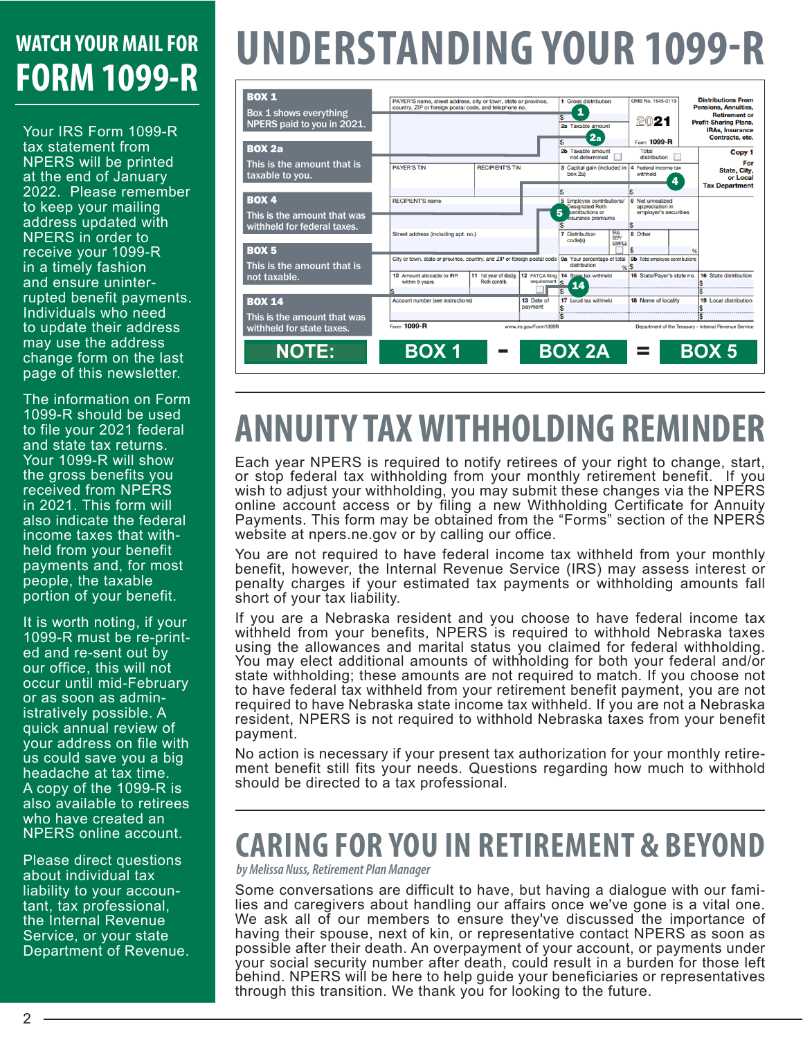#### **WATCH YOUR MAIL FOR FORM 1099-R**

Your IRS Form 1099-R tax statement from NPERS will be printed at the end of January 2022. Please remember to keep your mailing address updated with NPERS in order to receive your 1099-R in a timely fashion and ensure uninterrupted benefit payments. Individuals who need to update their address may use the address change form on the last page of this newsletter.

The information on Form 1099-R should be used to file your 2021 federal and state tax returns. Your 1099-R will show the gross benefits you received from NPERS in 2021. This form will also indicate the federal income taxes that withheld from your benefit payments and, for most people, the taxable portion of your benefit.

It is worth noting, if your 1099-R must be re-printed and re-sent out by our office, this will not occur until mid-February or as soon as administratively possible. A quick annual review of your address on file with us could save you a big headache at tax time. A copy of the 1099-R is also available to retirees who have created an NPERS online account.

Please direct questions about individual tax liability to your accountant, tax professional, the Internal Revenue Service, or your state Department of Revenue.

# **UNDERSTANDING YOUR 1099-R**

| <b>BOX 1</b><br>Box 1 shows everything<br>NPERS paid to you in 2021. | PAYER'S name, street address, city or town, state or province,<br>country. ZIP or foreign postal code, and telephone no. | 1 Gross distribution<br>1<br>2a Taxable amount<br>2a<br>2b Taxable amount<br>not determined      |                             | OMB No. 1545-0119<br>2021<br>Form 1099-R<br>Total<br>distribution |                                      | <b>Distributions From</b><br><b>Pensions, Annuities.</b><br><b>Retirement or</b><br><b>Profit-Sharing Plans,</b><br><b>IRAs, Insurance</b><br>Contracts, etc. |   |                                                          |
|----------------------------------------------------------------------|--------------------------------------------------------------------------------------------------------------------------|--------------------------------------------------------------------------------------------------|-----------------------------|-------------------------------------------------------------------|--------------------------------------|---------------------------------------------------------------------------------------------------------------------------------------------------------------|---|----------------------------------------------------------|
| <b>BOX 2a</b><br>This is the amount that is                          |                                                                                                                          |                                                                                                  |                             |                                                                   |                                      | Copy 1<br>For                                                                                                                                                 |   |                                                          |
| taxable to you.                                                      | <b>PAYER'S TIN</b>                                                                                                       | <b>RECIPIENT'S TIN</b>                                                                           |                             | 3 Capital gain (included in 4<br>box 2a)                          |                                      | Federal income tax<br>withheld                                                                                                                                | 4 | <b>State, City.</b><br>or Local<br><b>Tax Department</b> |
|                                                                      |                                                                                                                          |                                                                                                  |                             |                                                                   |                                      |                                                                                                                                                               |   |                                                          |
| <b>BOX 4</b><br>This is the amount that was                          | <b>RECIPIENT'S name</b>                                                                                                  | 5 Employee contributions/<br><b>Designated Roth</b><br>5<br>ontributions or<br>nsurance premiums |                             | 6 Net unrealized<br>appreciation in<br>employer's securities      |                                      |                                                                                                                                                               |   |                                                          |
| withheld for federal taxes.                                          |                                                                                                                          |                                                                                                  |                             |                                                                   |                                      |                                                                                                                                                               |   |                                                          |
|                                                                      | Street address (including apt, no.)                                                                                      |                                                                                                  |                             | <b>Distribution</b><br>code(s)                                    | <b>IRAV</b><br>SEPV<br><b>SIMPLE</b> | 8 Other                                                                                                                                                       |   |                                                          |
| <b>BOX 5</b>                                                         | City or town, state or province, country, and ZIP or foreign postal code                                                 |                                                                                                  | 9a Your percentage of total |                                                                   | 9b Total employee contributions      |                                                                                                                                                               |   |                                                          |
| This is the amount that is                                           |                                                                                                                          | distribution<br>96.5                                                                             |                             |                                                                   |                                      |                                                                                                                                                               |   |                                                          |
| not taxable.                                                         | 10 Amount allocable to IRR<br>within 5 years                                                                             | 11 1st year of desig.<br>Roth contrib.                                                           | requirement                 | 12 FATCA filing 14 State tax withheld<br>¢                        |                                      | 15 State/Paver's state no.                                                                                                                                    |   | 16 State distribution                                    |
|                                                                      | <b>Account number (see instructions)</b>                                                                                 |                                                                                                  | 13 Date of                  | 17 Local tax withheld                                             |                                      | 18 Name of locality                                                                                                                                           |   | <b>19</b> Local distribution                             |
| <b>BOX 14</b>                                                        |                                                                                                                          |                                                                                                  | payment                     |                                                                   |                                      |                                                                                                                                                               |   |                                                          |
| This is the amount that was                                          |                                                                                                                          |                                                                                                  |                             |                                                                   |                                      |                                                                                                                                                               |   |                                                          |
| withheld for state taxes.                                            | Form 1099-R                                                                                                              |                                                                                                  | www.irs.gov/Form1099R       |                                                                   |                                      |                                                                                                                                                               |   | Department of the Treasury - Internal Revenue Service    |
| <b>NOTE:</b>                                                         | <b>BOX 1</b>                                                                                                             |                                                                                                  |                             | <b>BOX 2A</b>                                                     |                                      | =                                                                                                                                                             |   | <b>BOX 5</b>                                             |
|                                                                      |                                                                                                                          |                                                                                                  |                             |                                                                   |                                      |                                                                                                                                                               |   |                                                          |

### **ANNUITY TAX WITHHOLDING REMINDER**

Each year NPERS is required to notify retirees of your right to change, start, or stop federal tax withholding from your monthly retirement benefit. If you wish to adjust your withholding, you may submit these changes via the NPERS online account access or by filing a new Withholding Certificate for Annuity Payments. This form may be obtained from the "Forms" section of the NPERS website at npers.ne.gov or by calling our office.

You are not required to have federal income tax withheld from your monthly benefit, however, the Internal Revenue Service (IRS) may assess interest or penalty charges if your estimated tax payments or withholding amounts fall short of your tax liability.

If you are a Nebraska resident and you choose to have federal income tax withheld from your benefits, NPERS is required to withhold Nebraska taxes using the allowances and marital status you claimed for federal withholding. You may elect additional amounts of withholding for both your federal and/or state withholding; these amounts are not required to match. If you choose not to have federal tax withheld from your retirement benefit payment, you are not required to have Nebraska state income tax withheld. If you are not a Nebraska resident, NPERS is not required to withhold Nebraska taxes from your benefit payment.

No action is necessary if your present tax authorization for your monthly retirement benefit still fits your needs. Questions regarding how much to withhold should be directed to a tax professional.

#### **CARING FOR YOU IN RETIREMENT & BEYOND**

*by Melissa Nuss, Retirement Plan Manager*

Some conversations are difficult to have, but having a dialogue with our families and caregivers about handling our affairs once we've gone is a vital one. We ask all of our members to ensure they've discussed the importance of having their spouse, next of kin, or representative contact NPERS as soon as possible after their death. An overpayment of your account, or payments under your social security number after death, could result in a burden for those left behind. NPERS will be here to help guide your beneficiaries or representatives through this transition. We thank you for looking to the future.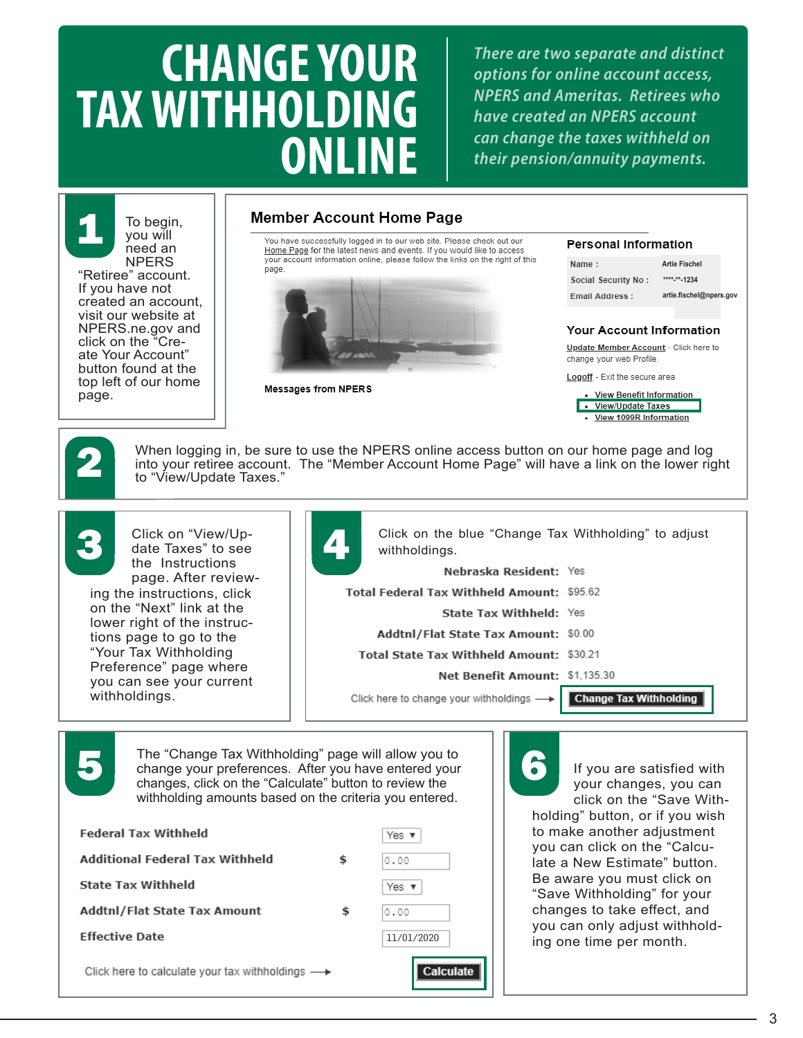# **CHANGE YOUR TAX WITHHOLDING ONLINE**

*There are two separate and distinct options for online account access, NPERS and Ameritas. Retirees who have created an NPERS account can change the taxes withheld on their pension/annuity payments.*



#### **Member Account Home Page**

You have successfully logged in to our web site. Please check out our<br>Home Page for the latest news and events. If you would like to access your account information online, please follow the links on the right of this page.





**Personal Information** Name: **Artie Fischel** Social Security No: **\*\*\*\*-\*\*-1234 Fmail Address: artie.fischel@npers.govYour Account Information** Update Member Account - Click here to change your web Profile Logoff - Exit the secure area **View Benefit Information** · View/Update Taxes

View 1099R Information

2

When logging in, be sure to use the NPERS online access button on our home page and log into your retiree account. The "Member Account Home Page" will have a link on the lower right to "View/Update Taxes."



Click on "View/Update Taxes" to see the Instructions page. After review-

ing the instructions, click on the "Next" link at the lower right of the instructions page to go to the "Your Tax Withholding Preference" page where you can see your current withholdings.



Click on the blue "Change Tax Withholding" to adjust withholdings. Nebraska Resident: Yes Total Federal Tax Withheld Amount: \$95.62 State Tax Withheld: Yes Addtnl/Flat State Tax Amount: \$0.00 Total State Tax Withheld Amount: \$30.21 Net Benefit Amount: \$1,135.30

Click here to change your withholdings -

**Change Tax Withholding** 

The "Change Tax Withholding" page will allow you to<br>change your preferences. After you have entered your<br>changes, click on the "Calculate" button to review the The "Change Tax Withholding" page will allow you to change your preferences. After you have entered your changes, click on the "Calculate" button to review the withholding amounts based on the criteria you entered.

| <b>Federal Tax Withheld</b>                                     | Yes $\mathbf w$ |  |
|-----------------------------------------------------------------|-----------------|--|
| <b>Additional Federal Tax Withheld</b>                          | \$<br>0.00      |  |
| <b>State Tax Withheld</b>                                       | Yes $\mathbf v$ |  |
| Addtnl/Flat State Tax Amount                                    | \$<br>0.00      |  |
| <b>Effective Date</b>                                           | 11/01/2020      |  |
| Click here to calculate your tax withholdings $\longrightarrow$ | Calculate       |  |

If you are satisfied with your changes, you can click on the "Save Withholding" button, or if you wish to make another adjustment you can click on the "Calculate a New Estimate" button. Be aware you must click on "Save Withholding" for your changes to take effect, and you can only adjust withholding one time per month.